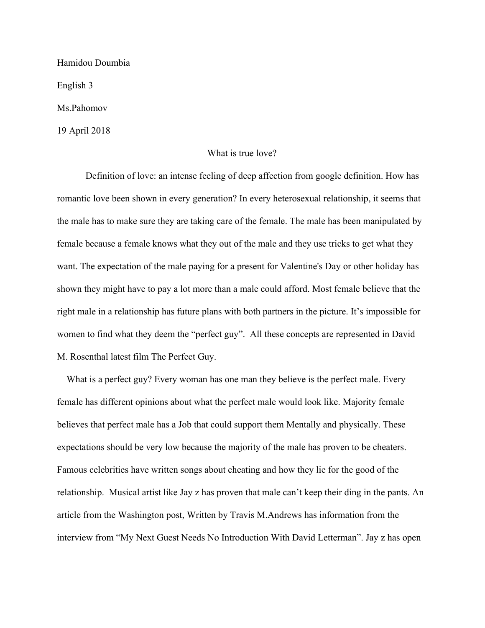Hamidou Doumbia English 3

Ms.Pahomov

19 April 2018

## What is true love?

Definition of love: an intense feeling of deep affection from google definition. How has romantic love been shown in every generation? In every heterosexual relationship, it seems that the male has to make sure they are taking care of the female. The male has been manipulated by female because a female knows what they out of the male and they use tricks to get what they want. The expectation of the male paying for a present for Valentine's Day or other holiday has shown they might have to pay a lot more than a male could afford. Most female believe that the right male in a relationship has future plans with both partners in the picture. It's impossible for women to find what they deem the "perfect guy". All these concepts are represented in David M. Rosenthal latest film The Perfect Guy.

What is a perfect guy? Every woman has one man they believe is the perfect male. Every female has different opinions about what the perfect male would look like. Majority female believes that perfect male has a Job that could support them Mentally and physically. These expectations should be very low because the majority of the male has proven to be cheaters. Famous celebrities have written songs about cheating and how they lie for the good of the relationship. Musical artist like Jay z has proven that male can't keep their ding in the pants. An article from the Washington post, Written by Travis M.Andrews has information from the interview from "My Next Guest Needs No Introduction With David Letterman". Jay z has open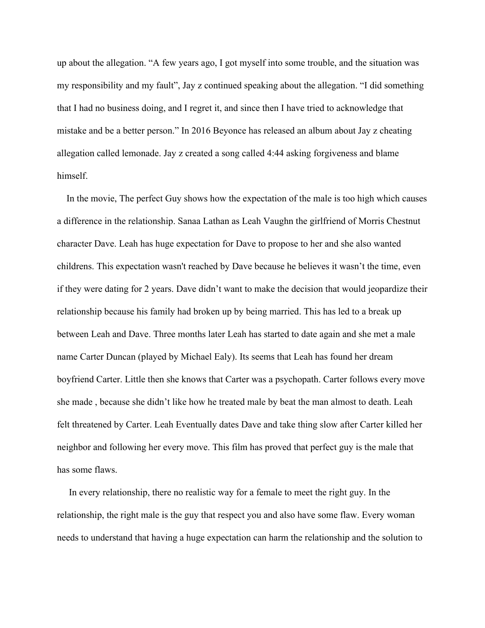up about the allegation. "A few years ago, I got myself into some trouble, and the situation was my responsibility and my fault", Jay z continued speaking about the allegation. "I did something that I had no business doing, and I regret it, and since then I have tried to acknowledge that mistake and be a better person." In 2016 Beyonce has released an album about Jay z cheating allegation called lemonade. Jay z created a song called 4:44 asking forgiveness and blame himself.

 In the movie, The perfect Guy shows how the expectation of the male is too high which causes a difference in the relationship. Sanaa Lathan as Leah Vaughn the girlfriend of Morris Chestnut character Dave. Leah has huge expectation for Dave to propose to her and she also wanted childrens. This expectation wasn't reached by Dave because he believes it wasn't the time, even if they were dating for 2 years. Dave didn't want to make the decision that would jeopardize their relationship because his family had broken up by being married. This has led to a break up between Leah and Dave. Three months later Leah has started to date again and she met a male name Carter Duncan (played by Michael Ealy). Its seems that Leah has found her dream boyfriend Carter. Little then she knows that Carter was a psychopath. Carter follows every move she made , because she didn't like how he treated male by beat the man almost to death. Leah felt threatened by Carter. Leah Eventually dates Dave and take thing slow after Carter killed her neighbor and following her every move. This film has proved that perfect guy is the male that has some flaws.

 In every relationship, there no realistic way for a female to meet the right guy. In the relationship, the right male is the guy that respect you and also have some flaw. Every woman needs to understand that having a huge expectation can harm the relationship and the solution to